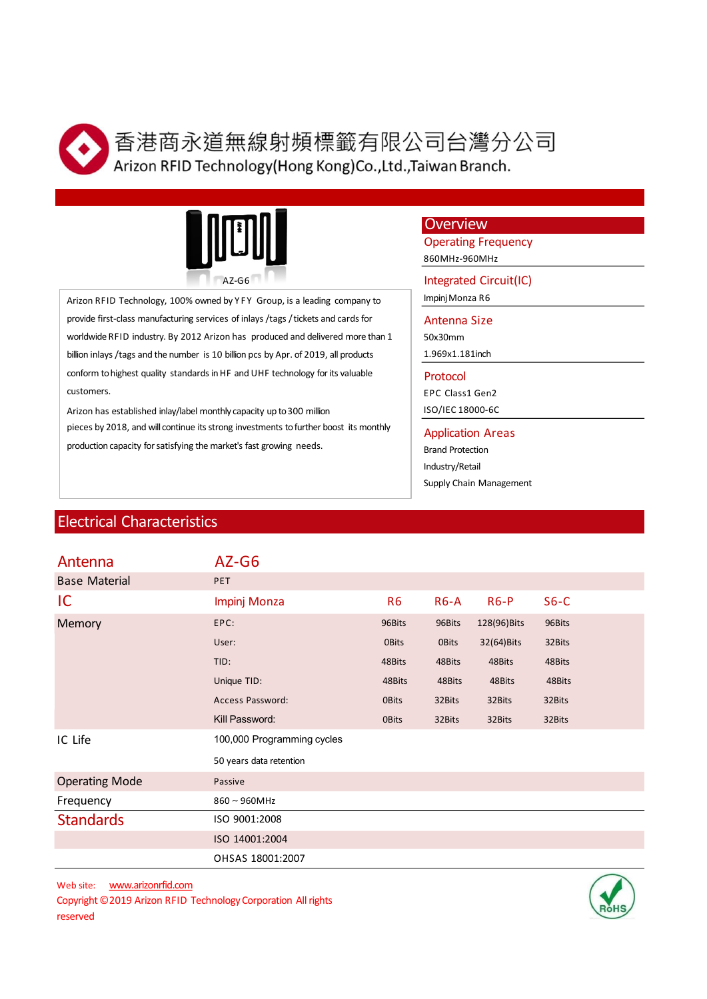

司台灣分公司<br>iwan Branch.<br>Overview<br>Operating Frequency<br>seomHz-960MHz<br>Integrated Circuit(IC)<br>Impinj Monza R6<br>Antenna Size 司台灣分公司<br>iwan Branch.<br>Overview<br>Operating Frequency<br>seomHz-960MHz<br>Integrated Circuit(IC)<br>Impinj Monza R6<br>Antenna Size<br>Sox30mm<br>1.969x1.181inch 司台灣分公司<br>iwan Branch.<br>Overview<br>Operating Frequency<br>seomHz-960MHz<br>Integrated Circuit(IC)<br>Impinj Monza R6<br>Antenna Size<br>Sox30mm<br>1.969x1.181inch<br>Protocol 司台灣分公司<br>
iwan Branch.<br>
Overview<br>
Operating Frequency<br>
<sub>860MHz</sub>-960MHz<br>
Integrated Circuit(IC)<br>
ImpinjMonza R6<br>
Antenna Size<br>
Antenna Size<br>
50x30mm<br>
1.969x1.181inch<br>
Protocol<br>
Protocol<br>
Significe Classifien2<br>
Significe 2190



Electrical Characteristics<br>
Electrical Characteristics<br>
Electrical Characteristics<br>
SED MUSLATED TO DETAIN SAMPLE THE CHARACTER FEQU<br>
Notice Rist-dass manufacturing services of inlays, *f* logs / tickets and cards for<br>
Not **Arizon RFID Technology, Horns (Arigon RFID Technology) (Hong Kong) Co., Ltd., Taiwan Branch.**<br>
<br> **Arizon RFID Technology, 100% owned by YF Group, is a leading company to<br>
<br>
Arizon RFID Technology, 100% owned by YF Group** provide first-class manufacturing services of inlays / tags / tickets and cards for Antenna Size worldwide RFID industry. By 2012 Arizon has produced and delivered more than 1 billion inlays / tags and the number is 10 billion pcs by Apr. of 2019, all products conform to highest quality standards in HF and UHF technology for its valuable customers. **Arizon RFID Technology** (Hong Kong)Co., Ltd., Taiwan Branch.<br>
Arizon RFID Technology (Hong Kong)Co., Ltd., Taiwan Branch.<br>
Arizon RFID Technology. 100% owned by YFY Group, is a leading company to<br>  $\frac{1}{\text{product of } \text{check } \text{check }$ 

## **Overview**

司台灣分公司<br>
Invan Branch.<br>
Overview<br>
Operating Frequency<br>
860MHz-960MHz<br>
Integrated Circuit(IC)<br>
Impinj Monza R6<br>
Antenna Size<br>
Sox30mm<br>
1.969x1.181inch<br>
Protocol<br>
FPC Class1 Gen2<br>
ISO/IEC 18000-6C<br>
Application Areas<br>
Brand P 司台灣分公司<br>
iwan Branch.<br>
Overview<br>
Operating Frequency<br>
860MHz-960MHz<br>
Integrated Circuit(IC)<br>
Impinj Monza R6<br>
Antenna Size<br>
50x30mm<br>
1.969x1.181inch<br>
Protocol<br>
FPC Class1 Gen2<br>
ISO/IEC 18000-6C<br>
Application Areas<br>
Brand Pr Brand Protection Industry/Retail

| $AZ-G6$<br>Arizon RFID Technology, 100% owned by YFY Group, is a leading company to<br>provide first-class manufacturing services of inlays /tags / tickets and cards for<br>worldwide RFID industry. By 2012 Arizon has produced and delivered more than 1<br>billion inlays /tags and the number is 10 billion pcs by Apr. of 2019, all products<br>conform to highest quality standards in HF and UHF technology for its valuable<br>customers.<br>Arizon has established inlay/label monthly capacity up to 300 million<br>pieces by 2018, and will continue its strong investments to further boost its monthly<br>production capacity for satisfying the market's fast growing needs. |                                                                | Overview<br><b>Operating Frequency</b><br>860MHz-960MHz<br>Integrated Circuit(IC)<br>Impinj Monza R6<br>Antenna Size<br>50x30mm<br>1.969x1.181inch<br>Protocol<br>EPC Class1 Gen2<br>ISO/IEC 18000-6C<br><b>Application Areas</b><br><b>Brand Protection</b><br>Industry/Retail<br>Supply Chain Management |              |              |        |  |
|---------------------------------------------------------------------------------------------------------------------------------------------------------------------------------------------------------------------------------------------------------------------------------------------------------------------------------------------------------------------------------------------------------------------------------------------------------------------------------------------------------------------------------------------------------------------------------------------------------------------------------------------------------------------------------------------|----------------------------------------------------------------|------------------------------------------------------------------------------------------------------------------------------------------------------------------------------------------------------------------------------------------------------------------------------------------------------------|--------------|--------------|--------|--|
| <b>Electrical Characteristics</b>                                                                                                                                                                                                                                                                                                                                                                                                                                                                                                                                                                                                                                                           |                                                                |                                                                                                                                                                                                                                                                                                            |              |              |        |  |
| Antenna                                                                                                                                                                                                                                                                                                                                                                                                                                                                                                                                                                                                                                                                                     | AZ-G6                                                          |                                                                                                                                                                                                                                                                                                            |              |              |        |  |
| <b>Base Material</b>                                                                                                                                                                                                                                                                                                                                                                                                                                                                                                                                                                                                                                                                        | PET                                                            |                                                                                                                                                                                                                                                                                                            |              |              |        |  |
| IC                                                                                                                                                                                                                                                                                                                                                                                                                                                                                                                                                                                                                                                                                          | Impinj Monza                                                   | <b>R6</b>                                                                                                                                                                                                                                                                                                  | $R6-A$       | $R6-P$       | $S6-C$ |  |
| Memory                                                                                                                                                                                                                                                                                                                                                                                                                                                                                                                                                                                                                                                                                      | EPC:                                                           | 96Bits                                                                                                                                                                                                                                                                                                     | 96Bits       | 128(96) Bits | 96Bits |  |
|                                                                                                                                                                                                                                                                                                                                                                                                                                                                                                                                                                                                                                                                                             | User:                                                          | <b>OBits</b>                                                                                                                                                                                                                                                                                               | <b>OBits</b> | 32(64) Bits  | 32Bits |  |
|                                                                                                                                                                                                                                                                                                                                                                                                                                                                                                                                                                                                                                                                                             | TID:                                                           | 48Bits                                                                                                                                                                                                                                                                                                     | 48Bits       | 48Bits       | 48Bits |  |
|                                                                                                                                                                                                                                                                                                                                                                                                                                                                                                                                                                                                                                                                                             | Unique TID:                                                    | 48Bits                                                                                                                                                                                                                                                                                                     | 48Bits       | 48Bits       | 48Bits |  |
|                                                                                                                                                                                                                                                                                                                                                                                                                                                                                                                                                                                                                                                                                             | Access Password:                                               | <b>OBits</b>                                                                                                                                                                                                                                                                                               | 32Bits       | 32Bits       | 32Bits |  |
|                                                                                                                                                                                                                                                                                                                                                                                                                                                                                                                                                                                                                                                                                             | Kill Password:                                                 | <b>OBits</b>                                                                                                                                                                                                                                                                                               | 32Bits       | 32Bits       | 32Bits |  |
| IC Life                                                                                                                                                                                                                                                                                                                                                                                                                                                                                                                                                                                                                                                                                     | 100,000 Programming cycles                                     |                                                                                                                                                                                                                                                                                                            |              |              |        |  |
|                                                                                                                                                                                                                                                                                                                                                                                                                                                                                                                                                                                                                                                                                             | 50 years data retention                                        |                                                                                                                                                                                                                                                                                                            |              |              |        |  |
| <b>Operating Mode</b>                                                                                                                                                                                                                                                                                                                                                                                                                                                                                                                                                                                                                                                                       | Passive                                                        |                                                                                                                                                                                                                                                                                                            |              |              |        |  |
| Frequency                                                                                                                                                                                                                                                                                                                                                                                                                                                                                                                                                                                                                                                                                   | $860 \sim 960$ MHz                                             |                                                                                                                                                                                                                                                                                                            |              |              |        |  |
| <b>Standards</b>                                                                                                                                                                                                                                                                                                                                                                                                                                                                                                                                                                                                                                                                            | ISO 9001:2008                                                  |                                                                                                                                                                                                                                                                                                            |              |              |        |  |
|                                                                                                                                                                                                                                                                                                                                                                                                                                                                                                                                                                                                                                                                                             | ISO 14001:2004                                                 |                                                                                                                                                                                                                                                                                                            |              |              |        |  |
|                                                                                                                                                                                                                                                                                                                                                                                                                                                                                                                                                                                                                                                                                             | OHSAS 18001:2007                                               |                                                                                                                                                                                                                                                                                                            |              |              |        |  |
| www.arizonrfid.com<br>Web site:<br>reserved                                                                                                                                                                                                                                                                                                                                                                                                                                                                                                                                                                                                                                                 | Copyright © 2019 Arizon RFID Technology Corporation All rights |                                                                                                                                                                                                                                                                                                            |              |              |        |  |